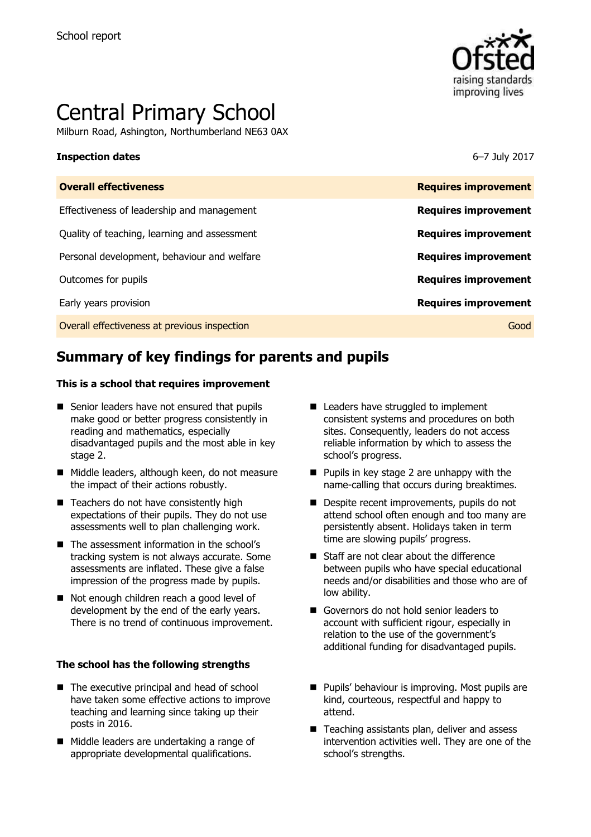

# Central Primary School

Milburn Road, Ashington, Northumberland NE63 0AX

#### **Inspection dates** 6–7 July 2017

| <b>Overall effectiveness</b>                 | <b>Requires improvement</b> |
|----------------------------------------------|-----------------------------|
| Effectiveness of leadership and management   | <b>Requires improvement</b> |
| Quality of teaching, learning and assessment | <b>Requires improvement</b> |
| Personal development, behaviour and welfare  | <b>Requires improvement</b> |
| Outcomes for pupils                          | <b>Requires improvement</b> |
| Early years provision                        | <b>Requires improvement</b> |
| Overall effectiveness at previous inspection | Good                        |
|                                              |                             |

# **Summary of key findings for parents and pupils**

#### **This is a school that requires improvement**

- Senior leaders have not ensured that pupils make good or better progress consistently in reading and mathematics, especially disadvantaged pupils and the most able in key stage 2.
- Middle leaders, although keen, do not measure the impact of their actions robustly.
- Teachers do not have consistently high expectations of their pupils. They do not use assessments well to plan challenging work.
- The assessment information in the school's tracking system is not always accurate. Some assessments are inflated. These give a false impression of the progress made by pupils.
- Not enough children reach a good level of development by the end of the early years. There is no trend of continuous improvement.

#### **The school has the following strengths**

- The executive principal and head of school have taken some effective actions to improve teaching and learning since taking up their posts in 2016.
- Middle leaders are undertaking a range of appropriate developmental qualifications.
- Leaders have struggled to implement consistent systems and procedures on both sites. Consequently, leaders do not access reliable information by which to assess the school's progress.
- $\blacksquare$  Pupils in key stage 2 are unhappy with the name-calling that occurs during breaktimes.
- Despite recent improvements, pupils do not attend school often enough and too many are persistently absent. Holidays taken in term time are slowing pupils' progress.
- Staff are not clear about the difference between pupils who have special educational needs and/or disabilities and those who are of low ability.
- Governors do not hold senior leaders to account with sufficient rigour, especially in relation to the use of the government's additional funding for disadvantaged pupils.
- **Pupils' behaviour is improving. Most pupils are** kind, courteous, respectful and happy to attend.
- Teaching assistants plan, deliver and assess intervention activities well. They are one of the school's strengths.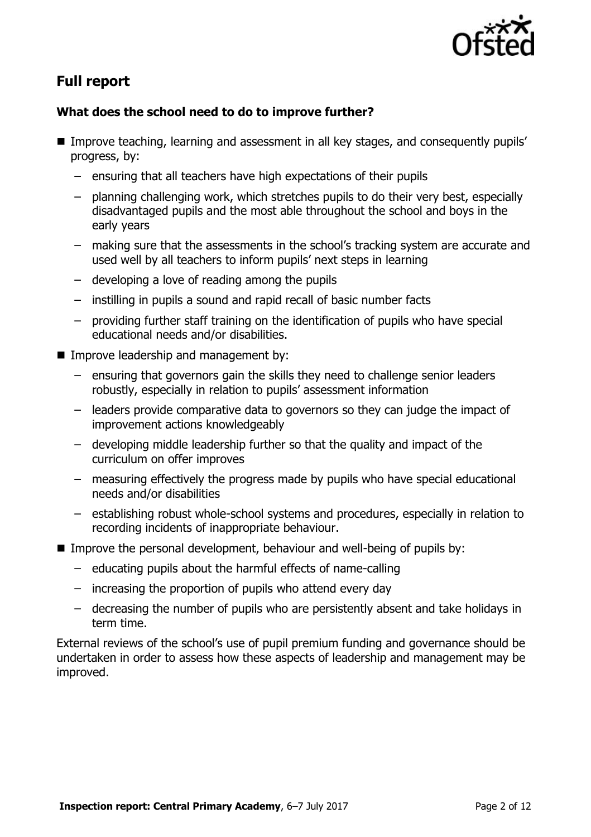

# **Full report**

### **What does the school need to do to improve further?**

- Improve teaching, learning and assessment in all key stages, and consequently pupils' progress, by:
	- ensuring that all teachers have high expectations of their pupils
	- planning challenging work, which stretches pupils to do their very best, especially disadvantaged pupils and the most able throughout the school and boys in the early years
	- making sure that the assessments in the school's tracking system are accurate and used well by all teachers to inform pupils' next steps in learning
	- developing a love of reading among the pupils
	- instilling in pupils a sound and rapid recall of basic number facts
	- providing further staff training on the identification of pupils who have special educational needs and/or disabilities.
- **IMPROVE leadership and management by:** 
	- ensuring that governors gain the skills they need to challenge senior leaders robustly, especially in relation to pupils' assessment information
	- leaders provide comparative data to governors so they can judge the impact of improvement actions knowledgeably
	- developing middle leadership further so that the quality and impact of the curriculum on offer improves
	- measuring effectively the progress made by pupils who have special educational needs and/or disabilities
	- establishing robust whole-school systems and procedures, especially in relation to recording incidents of inappropriate behaviour.
- Improve the personal development, behaviour and well-being of pupils by:
	- educating pupils about the harmful effects of name-calling
	- increasing the proportion of pupils who attend every day
	- decreasing the number of pupils who are persistently absent and take holidays in term time.

External reviews of the school's use of pupil premium funding and governance should be undertaken in order to assess how these aspects of leadership and management may be improved.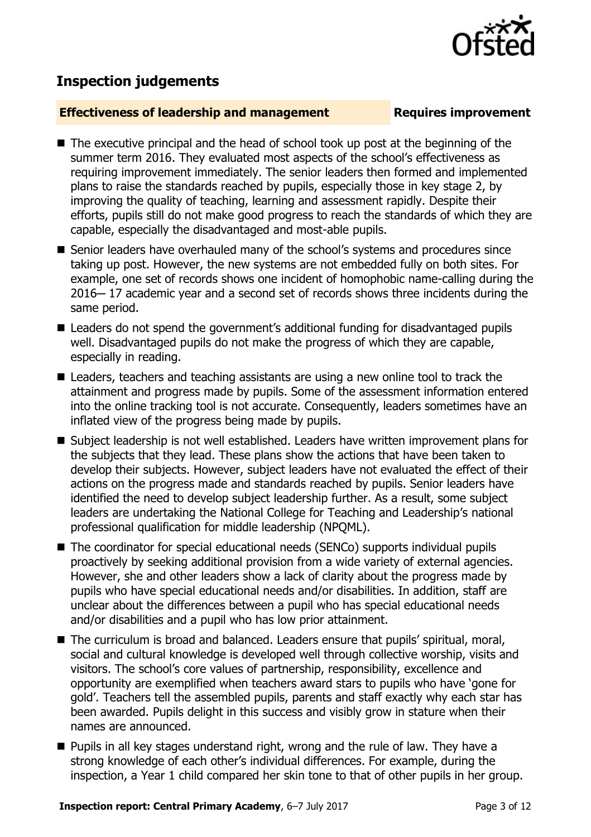## **Inspection judgements**

#### **Effectiveness of leadership and management Requires improvement**

- The executive principal and the head of school took up post at the beginning of the summer term 2016. They evaluated most aspects of the school's effectiveness as requiring improvement immediately. The senior leaders then formed and implemented plans to raise the standards reached by pupils, especially those in key stage 2, by improving the quality of teaching, learning and assessment rapidly. Despite their efforts, pupils still do not make good progress to reach the standards of which they are capable, especially the disadvantaged and most-able pupils.
- Senior leaders have overhauled many of the school's systems and procedures since taking up post. However, the new systems are not embedded fully on both sites. For example, one set of records shows one incident of homophobic name-calling during the 2016-17 academic year and a second set of records shows three incidents during the same period.
- Leaders do not spend the government's additional funding for disadvantaged pupils well. Disadvantaged pupils do not make the progress of which they are capable, especially in reading.
- Leaders, teachers and teaching assistants are using a new online tool to track the attainment and progress made by pupils. Some of the assessment information entered into the online tracking tool is not accurate. Consequently, leaders sometimes have an inflated view of the progress being made by pupils.
- Subject leadership is not well established. Leaders have written improvement plans for the subjects that they lead. These plans show the actions that have been taken to develop their subjects. However, subject leaders have not evaluated the effect of their actions on the progress made and standards reached by pupils. Senior leaders have identified the need to develop subject leadership further. As a result, some subject leaders are undertaking the National College for Teaching and Leadership's national professional qualification for middle leadership (NPQML).
- The coordinator for special educational needs (SENCo) supports individual pupils proactively by seeking additional provision from a wide variety of external agencies. However, she and other leaders show a lack of clarity about the progress made by pupils who have special educational needs and/or disabilities. In addition, staff are unclear about the differences between a pupil who has special educational needs and/or disabilities and a pupil who has low prior attainment.
- The curriculum is broad and balanced. Leaders ensure that pupils' spiritual, moral, social and cultural knowledge is developed well through collective worship, visits and visitors. The school's core values of partnership, responsibility, excellence and opportunity are exemplified when teachers award stars to pupils who have 'gone for gold'. Teachers tell the assembled pupils, parents and staff exactly why each star has been awarded. Pupils delight in this success and visibly grow in stature when their names are announced.
- **Pupils in all key stages understand right, wrong and the rule of law. They have a** strong knowledge of each other's individual differences. For example, during the inspection, a Year 1 child compared her skin tone to that of other pupils in her group.

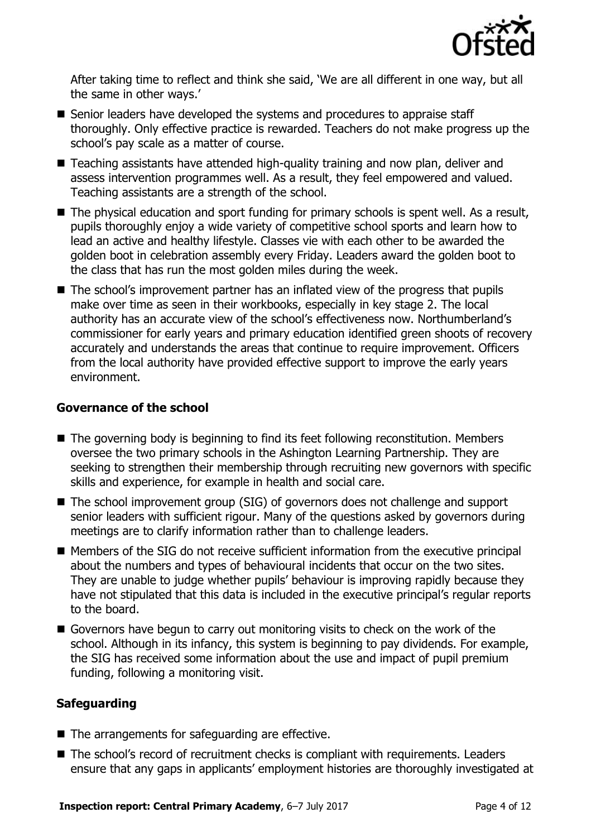

After taking time to reflect and think she said, 'We are all different in one way, but all the same in other ways.'

- Senior leaders have developed the systems and procedures to appraise staff thoroughly. Only effective practice is rewarded. Teachers do not make progress up the school's pay scale as a matter of course.
- Teaching assistants have attended high-quality training and now plan, deliver and assess intervention programmes well. As a result, they feel empowered and valued. Teaching assistants are a strength of the school.
- The physical education and sport funding for primary schools is spent well. As a result, pupils thoroughly enjoy a wide variety of competitive school sports and learn how to lead an active and healthy lifestyle. Classes vie with each other to be awarded the golden boot in celebration assembly every Friday. Leaders award the golden boot to the class that has run the most golden miles during the week.
- The school's improvement partner has an inflated view of the progress that pupils make over time as seen in their workbooks, especially in key stage 2. The local authority has an accurate view of the school's effectiveness now. Northumberland's commissioner for early years and primary education identified green shoots of recovery accurately and understands the areas that continue to require improvement. Officers from the local authority have provided effective support to improve the early years environment.

#### **Governance of the school**

- The governing body is beginning to find its feet following reconstitution. Members oversee the two primary schools in the Ashington Learning Partnership. They are seeking to strengthen their membership through recruiting new governors with specific skills and experience, for example in health and social care.
- The school improvement group (SIG) of governors does not challenge and support senior leaders with sufficient rigour. Many of the questions asked by governors during meetings are to clarify information rather than to challenge leaders.
- Members of the SIG do not receive sufficient information from the executive principal about the numbers and types of behavioural incidents that occur on the two sites. They are unable to judge whether pupils' behaviour is improving rapidly because they have not stipulated that this data is included in the executive principal's regular reports to the board.
- Governors have begun to carry out monitoring visits to check on the work of the school. Although in its infancy, this system is beginning to pay dividends. For example, the SIG has received some information about the use and impact of pupil premium funding, following a monitoring visit.

### **Safeguarding**

- $\blacksquare$  The arrangements for safeguarding are effective.
- The school's record of recruitment checks is compliant with requirements. Leaders ensure that any gaps in applicants' employment histories are thoroughly investigated at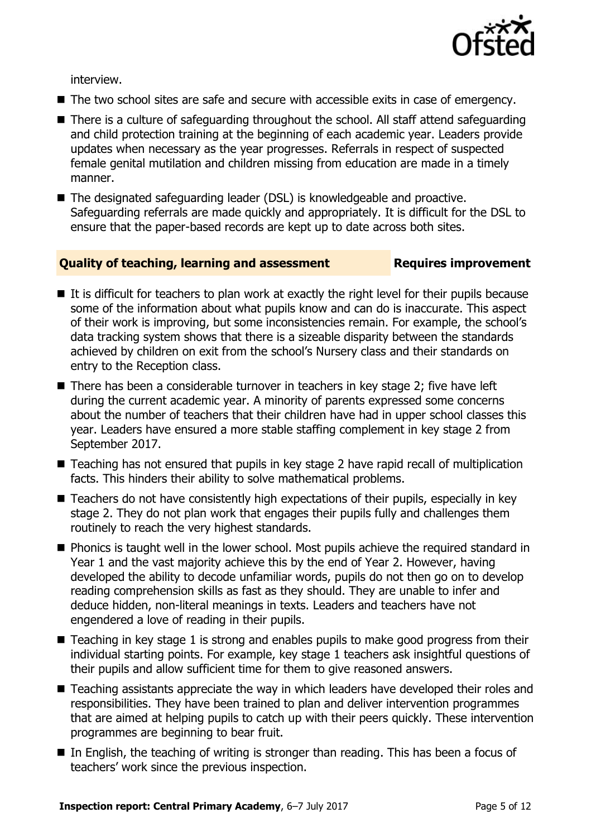

interview.

- The two school sites are safe and secure with accessible exits in case of emergency.
- There is a culture of safeguarding throughout the school. All staff attend safeguarding and child protection training at the beginning of each academic year. Leaders provide updates when necessary as the year progresses. Referrals in respect of suspected female genital mutilation and children missing from education are made in a timely manner.
- The designated safeguarding leader (DSL) is knowledgeable and proactive. Safeguarding referrals are made quickly and appropriately. It is difficult for the DSL to ensure that the paper-based records are kept up to date across both sites.

### **Quality of teaching, learning and assessment Requires improvement**

- $\blacksquare$  It is difficult for teachers to plan work at exactly the right level for their pupils because some of the information about what pupils know and can do is inaccurate. This aspect of their work is improving, but some inconsistencies remain. For example, the school's data tracking system shows that there is a sizeable disparity between the standards achieved by children on exit from the school's Nursery class and their standards on entry to the Reception class.
- $\blacksquare$  There has been a considerable turnover in teachers in key stage 2; five have left during the current academic year. A minority of parents expressed some concerns about the number of teachers that their children have had in upper school classes this year. Leaders have ensured a more stable staffing complement in key stage 2 from September 2017.
- Teaching has not ensured that pupils in key stage 2 have rapid recall of multiplication facts. This hinders their ability to solve mathematical problems.
- Teachers do not have consistently high expectations of their pupils, especially in key stage 2. They do not plan work that engages their pupils fully and challenges them routinely to reach the very highest standards.
- **Phonics is taught well in the lower school. Most pupils achieve the required standard in** Year 1 and the vast majority achieve this by the end of Year 2. However, having developed the ability to decode unfamiliar words, pupils do not then go on to develop reading comprehension skills as fast as they should. They are unable to infer and deduce hidden, non-literal meanings in texts. Leaders and teachers have not engendered a love of reading in their pupils.
- Teaching in key stage 1 is strong and enables pupils to make good progress from their individual starting points. For example, key stage 1 teachers ask insightful questions of their pupils and allow sufficient time for them to give reasoned answers.
- Teaching assistants appreciate the way in which leaders have developed their roles and responsibilities. They have been trained to plan and deliver intervention programmes that are aimed at helping pupils to catch up with their peers quickly. These intervention programmes are beginning to bear fruit.
- In English, the teaching of writing is stronger than reading. This has been a focus of teachers' work since the previous inspection.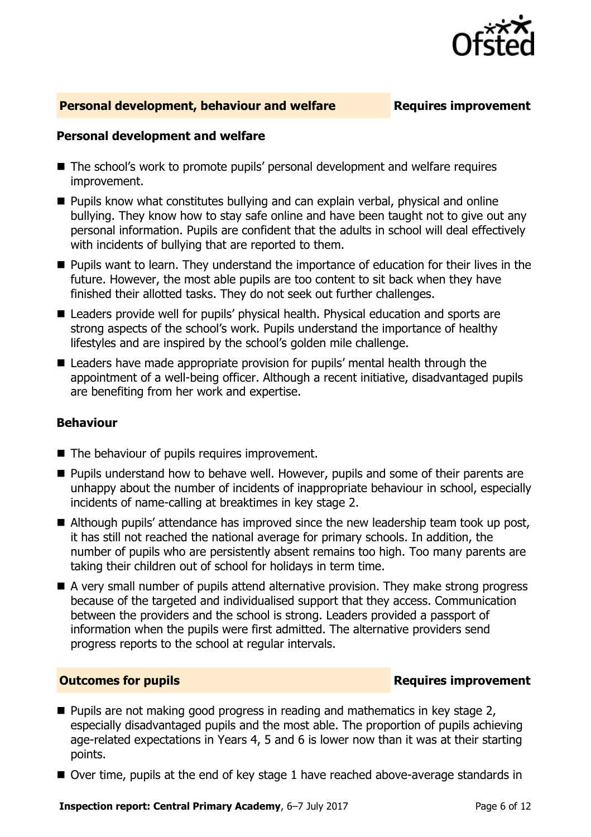

#### **Personal development, behaviour and welfare Fig. 2.1 Requires improvement**

#### **Personal development and welfare**

- The school's work to promote pupils' personal development and welfare requires improvement.
- **Pupils know what constitutes bullying and can explain verbal, physical and online** bullying. They know how to stay safe online and have been taught not to give out any personal information. Pupils are confident that the adults in school will deal effectively with incidents of bullying that are reported to them.
- **Pupils want to learn. They understand the importance of education for their lives in the** future. However, the most able pupils are too content to sit back when they have finished their allotted tasks. They do not seek out further challenges.
- Leaders provide well for pupils' physical health. Physical education and sports are strong aspects of the school's work. Pupils understand the importance of healthy lifestyles and are inspired by the school's golden mile challenge.
- Leaders have made appropriate provision for pupils' mental health through the appointment of a well-being officer. Although a recent initiative, disadvantaged pupils are benefiting from her work and expertise.

#### **Behaviour**

- The behaviour of pupils requires improvement.
- **Pupils understand how to behave well. However, pupils and some of their parents are** unhappy about the number of incidents of inappropriate behaviour in school, especially incidents of name-calling at breaktimes in key stage 2.
- Although pupils' attendance has improved since the new leadership team took up post, it has still not reached the national average for primary schools. In addition, the number of pupils who are persistently absent remains too high. Too many parents are taking their children out of school for holidays in term time.
- A very small number of pupils attend alternative provision. They make strong progress because of the targeted and individualised support that they access. Communication between the providers and the school is strong. Leaders provided a passport of information when the pupils were first admitted. The alternative providers send progress reports to the school at regular intervals.

#### **Outcomes for pupils Requires improvement**

- $\blacksquare$  Pupils are not making good progress in reading and mathematics in key stage 2, especially disadvantaged pupils and the most able. The proportion of pupils achieving age-related expectations in Years 4, 5 and 6 is lower now than it was at their starting points.
- Over time, pupils at the end of key stage 1 have reached above-average standards in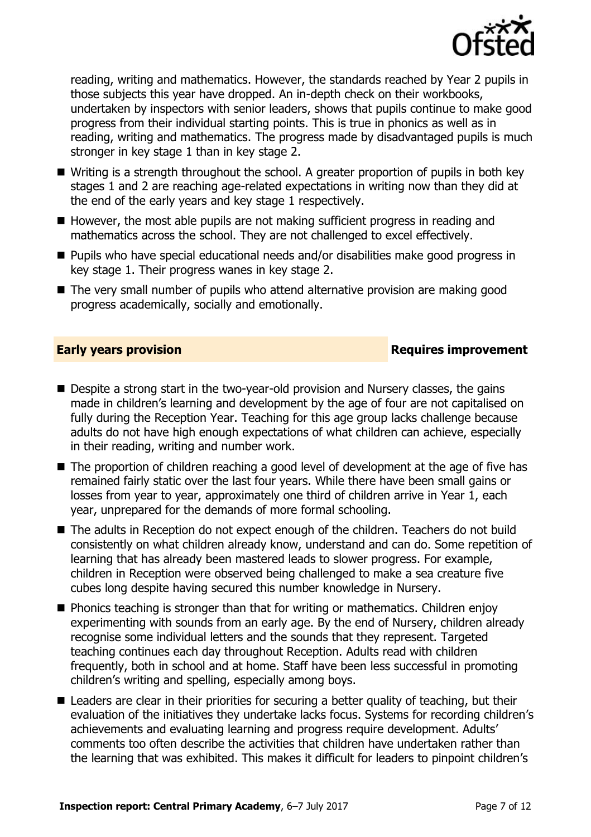

reading, writing and mathematics. However, the standards reached by Year 2 pupils in those subjects this year have dropped. An in-depth check on their workbooks, undertaken by inspectors with senior leaders, shows that pupils continue to make good progress from their individual starting points. This is true in phonics as well as in reading, writing and mathematics. The progress made by disadvantaged pupils is much stronger in key stage 1 than in key stage 2.

- Writing is a strength throughout the school. A greater proportion of pupils in both key stages 1 and 2 are reaching age-related expectations in writing now than they did at the end of the early years and key stage 1 respectively.
- $\blacksquare$  However, the most able pupils are not making sufficient progress in reading and mathematics across the school. They are not challenged to excel effectively.
- Pupils who have special educational needs and/or disabilities make good progress in key stage 1. Their progress wanes in key stage 2.
- The very small number of pupils who attend alternative provision are making good progress academically, socially and emotionally.

### **Early years provision Requires improvement**

- Despite a strong start in the two-year-old provision and Nursery classes, the gains made in children's learning and development by the age of four are not capitalised on fully during the Reception Year. Teaching for this age group lacks challenge because adults do not have high enough expectations of what children can achieve, especially in their reading, writing and number work.
- The proportion of children reaching a good level of development at the age of five has remained fairly static over the last four years. While there have been small gains or losses from year to year, approximately one third of children arrive in Year 1, each year, unprepared for the demands of more formal schooling.
- The adults in Reception do not expect enough of the children. Teachers do not build consistently on what children already know, understand and can do. Some repetition of learning that has already been mastered leads to slower progress. For example, children in Reception were observed being challenged to make a sea creature five cubes long despite having secured this number knowledge in Nursery.
- Phonics teaching is stronger than that for writing or mathematics. Children enjoy experimenting with sounds from an early age. By the end of Nursery, children already recognise some individual letters and the sounds that they represent. Targeted teaching continues each day throughout Reception. Adults read with children frequently, both in school and at home. Staff have been less successful in promoting children's writing and spelling, especially among boys.
- Leaders are clear in their priorities for securing a better quality of teaching, but their evaluation of the initiatives they undertake lacks focus. Systems for recording children's achievements and evaluating learning and progress require development. Adults' comments too often describe the activities that children have undertaken rather than the learning that was exhibited. This makes it difficult for leaders to pinpoint children's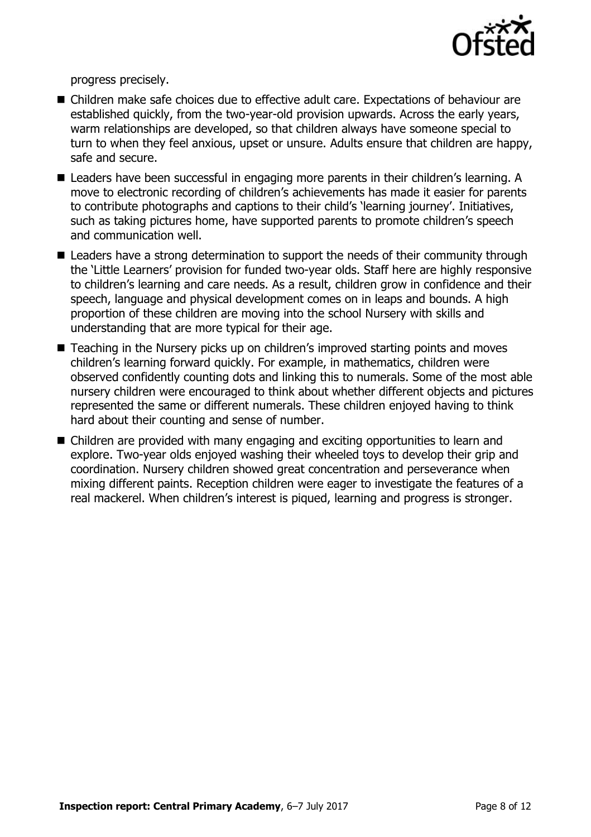

progress precisely.

- Children make safe choices due to effective adult care. Expectations of behaviour are established quickly, from the two-year-old provision upwards. Across the early years, warm relationships are developed, so that children always have someone special to turn to when they feel anxious, upset or unsure. Adults ensure that children are happy, safe and secure.
- Leaders have been successful in engaging more parents in their children's learning. A move to electronic recording of children's achievements has made it easier for parents to contribute photographs and captions to their child's 'learning journey'. Initiatives, such as taking pictures home, have supported parents to promote children's speech and communication well.
- Leaders have a strong determination to support the needs of their community through the 'Little Learners' provision for funded two-year olds. Staff here are highly responsive to children's learning and care needs. As a result, children grow in confidence and their speech, language and physical development comes on in leaps and bounds. A high proportion of these children are moving into the school Nursery with skills and understanding that are more typical for their age.
- Teaching in the Nursery picks up on children's improved starting points and moves children's learning forward quickly. For example, in mathematics, children were observed confidently counting dots and linking this to numerals. Some of the most able nursery children were encouraged to think about whether different objects and pictures represented the same or different numerals. These children enjoyed having to think hard about their counting and sense of number.
- Children are provided with many engaging and exciting opportunities to learn and explore. Two-year olds enjoyed washing their wheeled toys to develop their grip and coordination. Nursery children showed great concentration and perseverance when mixing different paints. Reception children were eager to investigate the features of a real mackerel. When children's interest is piqued, learning and progress is stronger.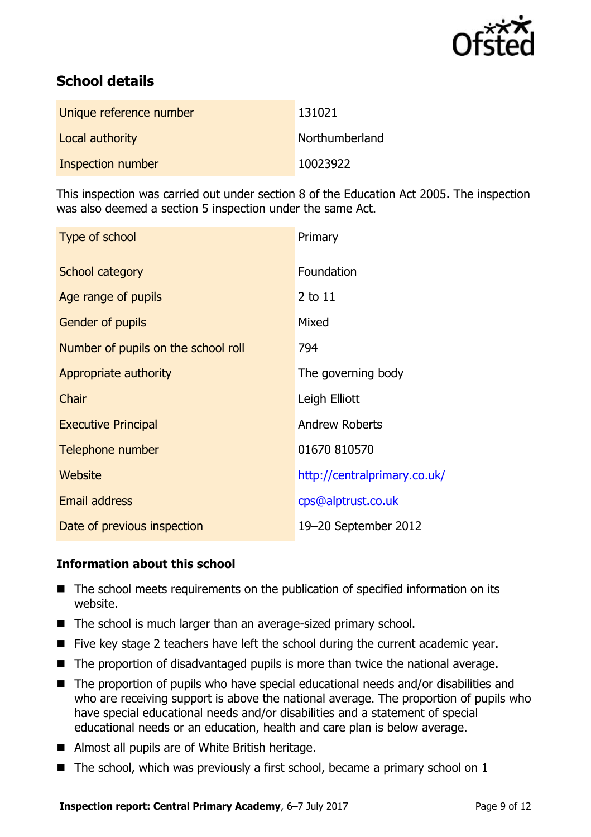

# **School details**

| Unique reference number | 131021         |
|-------------------------|----------------|
| Local authority         | Northumberland |
| Inspection number       | 10023922       |

This inspection was carried out under section 8 of the Education Act 2005. The inspection was also deemed a section 5 inspection under the same Act.

| Type of school                      | Primary                      |
|-------------------------------------|------------------------------|
| School category                     | Foundation                   |
| Age range of pupils                 | 2 to 11                      |
| Gender of pupils                    | Mixed                        |
| Number of pupils on the school roll | 794                          |
| Appropriate authority               | The governing body           |
| Chair                               | Leigh Elliott                |
| <b>Executive Principal</b>          | <b>Andrew Roberts</b>        |
| Telephone number                    | 01670 810570                 |
| Website                             | http://centralprimary.co.uk/ |
| <b>Email address</b>                | cps@alptrust.co.uk           |
| Date of previous inspection         | 19-20 September 2012         |

### **Information about this school**

- The school meets requirements on the publication of specified information on its website.
- The school is much larger than an average-sized primary school.
- $\blacksquare$  Five key stage 2 teachers have left the school during the current academic year.
- The proportion of disadvantaged pupils is more than twice the national average.
- The proportion of pupils who have special educational needs and/or disabilities and who are receiving support is above the national average. The proportion of pupils who have special educational needs and/or disabilities and a statement of special educational needs or an education, health and care plan is below average.
- Almost all pupils are of White British heritage.
- $\blacksquare$  The school, which was previously a first school, became a primary school on 1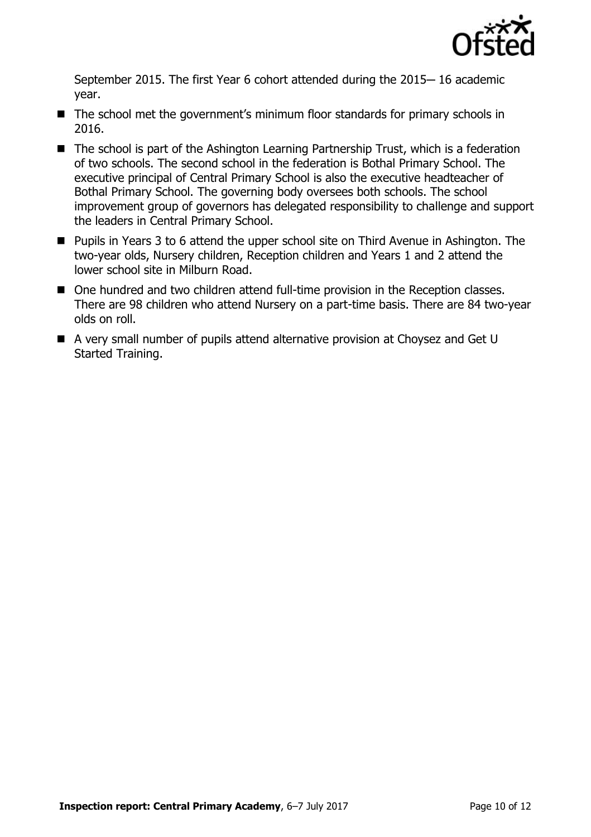

September 2015. The first Year 6 cohort attended during the 2015-16 academic year.

- The school met the government's minimum floor standards for primary schools in 2016.
- The school is part of the Ashington Learning Partnership Trust, which is a federation of two schools. The second school in the federation is Bothal Primary School. The executive principal of Central Primary School is also the executive headteacher of Bothal Primary School. The governing body oversees both schools. The school improvement group of governors has delegated responsibility to challenge and support the leaders in Central Primary School.
- Pupils in Years 3 to 6 attend the upper school site on Third Avenue in Ashington. The two-year olds, Nursery children, Reception children and Years 1 and 2 attend the lower school site in Milburn Road.
- One hundred and two children attend full-time provision in the Reception classes. There are 98 children who attend Nursery on a part-time basis. There are 84 two-year olds on roll.
- A very small number of pupils attend alternative provision at Choysez and Get U Started Training.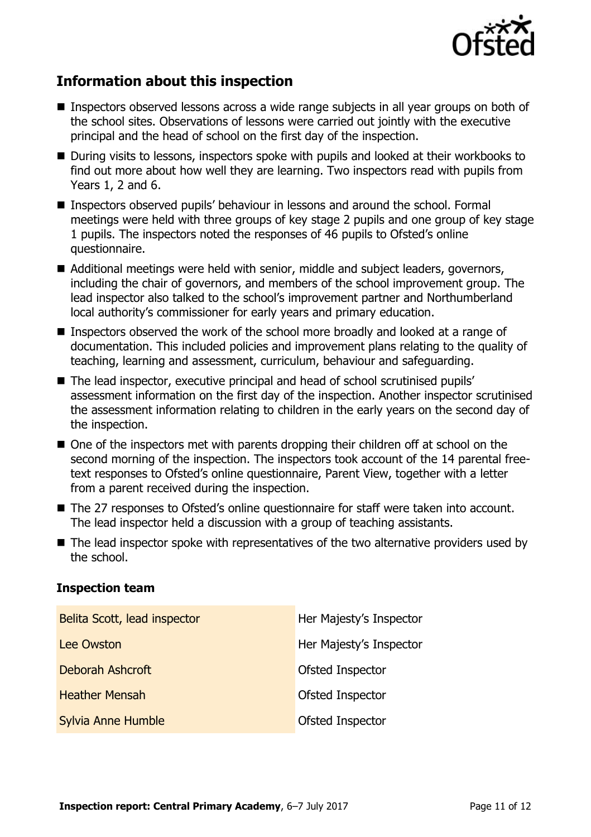

# **Information about this inspection**

- Inspectors observed lessons across a wide range subjects in all year groups on both of the school sites. Observations of lessons were carried out jointly with the executive principal and the head of school on the first day of the inspection.
- During visits to lessons, inspectors spoke with pupils and looked at their workbooks to find out more about how well they are learning. Two inspectors read with pupils from Years 1, 2 and 6.
- Inspectors observed pupils' behaviour in lessons and around the school. Formal meetings were held with three groups of key stage 2 pupils and one group of key stage 1 pupils. The inspectors noted the responses of 46 pupils to Ofsted's online questionnaire.
- Additional meetings were held with senior, middle and subject leaders, governors, including the chair of governors, and members of the school improvement group. The lead inspector also talked to the school's improvement partner and Northumberland local authority's commissioner for early years and primary education.
- Inspectors observed the work of the school more broadly and looked at a range of documentation. This included policies and improvement plans relating to the quality of teaching, learning and assessment, curriculum, behaviour and safeguarding.
- The lead inspector, executive principal and head of school scrutinised pupils' assessment information on the first day of the inspection. Another inspector scrutinised the assessment information relating to children in the early years on the second day of the inspection.
- One of the inspectors met with parents dropping their children off at school on the second morning of the inspection. The inspectors took account of the 14 parental freetext responses to Ofsted's online questionnaire, Parent View, together with a letter from a parent received during the inspection.
- The 27 responses to Ofsted's online questionnaire for staff were taken into account. The lead inspector held a discussion with a group of teaching assistants.
- The lead inspector spoke with representatives of the two alternative providers used by the school.

### **Inspection team**

| Belita Scott, lead inspector | Her Majesty's Inspector |
|------------------------------|-------------------------|
| <b>Lee Owston</b>            | Her Majesty's Inspector |
| Deborah Ashcroft             | Ofsted Inspector        |
| <b>Heather Mensah</b>        | Ofsted Inspector        |
| Sylvia Anne Humble           | Ofsted Inspector        |